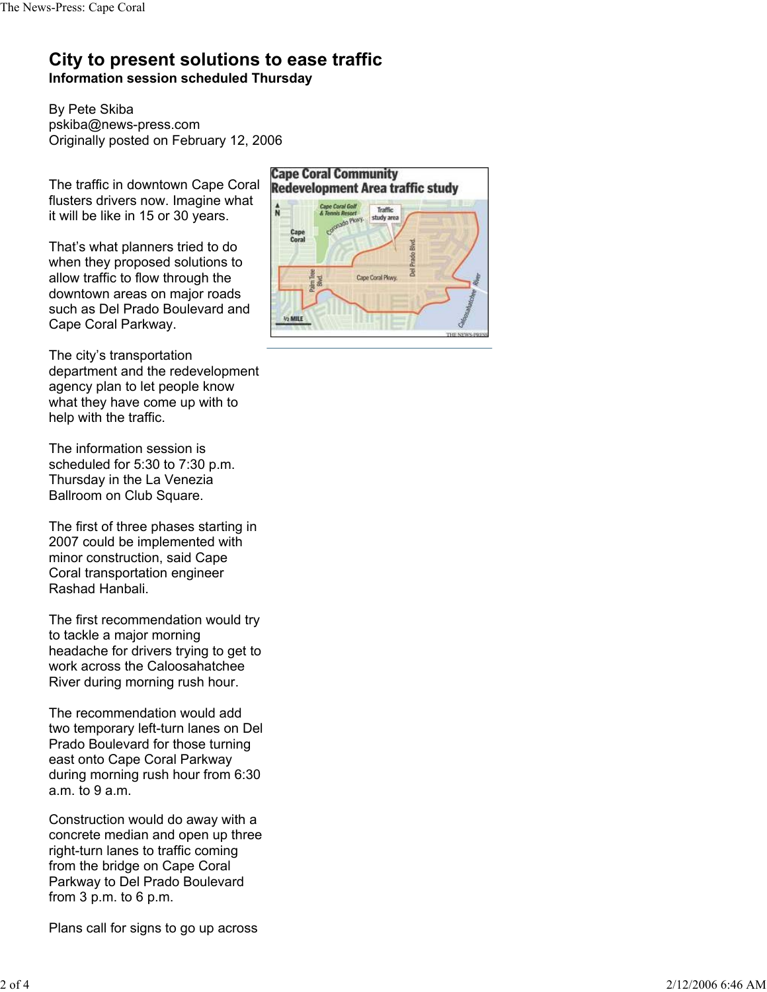## **City to present solutions to ease traffic Information session scheduled Thursday**

By Pete Skiba pskiba@news-press.com Originally posted on February 12, 2006

The traffic in downtown Cape Coral flusters drivers now. Imagine what it will be like in 15 or 30 years.

That's what planners tried to do when they proposed solutions to allow traffic to flow through the downtown areas on major roads such as Del Prado Boulevard and Cape Coral Parkway.

The city's transportation department and the redevelopment agency plan to let people know what they have come up with to help with the traffic.

The information session is scheduled for 5:30 to 7:30 p.m. Thursday in the La Venezia Ballroom on Club Square.

The first of three phases starting in 2007 could be implemented with minor construction, said Cape Coral transportation engineer Rashad Hanbali.

The first recommendation would try to tackle a major morning headache for drivers trying to get to work across the Caloosahatchee River during morning rush hour.

The recommendation would add two temporary left-turn lanes on Del Prado Boulevard for those turning east onto Cape Coral Parkway during morning rush hour from 6:30 a.m. to 9 a.m.

Construction would do away with a concrete median and open up three right-turn lanes to traffic coming from the bridge on Cape Coral Parkway to Del Prado Boulevard from  $3 p.m.$  to  $6 p.m.$ 

Plans call for signs to go up across

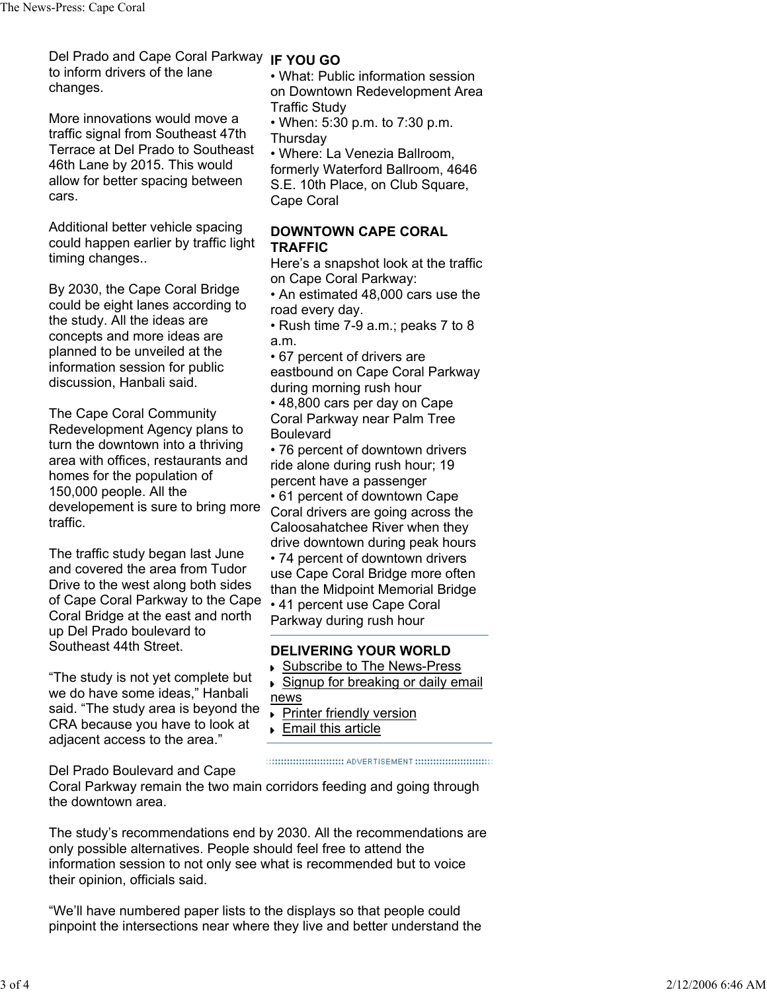Del Prado and Cape Coral Parkway **IF YOU GO** to inform drivers of the lane changes.

More innovations would move a traffic signal from Southeast 47th Terrace at Del Prado to Southeast 46th Lane by 2015. This would allow for better spacing between cars.

Additional better vehicle spacing could happen earlier by traffic light timing changes..

By 2030, the Cape Coral Bridge could be eight lanes according to the study. All the ideas are concepts and more ideas are planned to be unveiled at the information session for public discussion, Hanbali said.

The Cape Coral Community Redevelopment Agency plans to turn the downtown into a thriving area with offices, restaurants and homes for the population of 150,000 people. All the developement is sure to bring more traffic.

The traffic study began last June and covered the area from Tudor Drive to the west along both sides of Cape Coral Parkway to the Cape Coral Bridge at the east and north up Del Prado boulevard to Southeast 44th Street.

"The study is not yet complete but we do have some ideas," Hanbali said. "The study area is beyond the CRA because you have to look at adjacent access to the area."

• What: Public information session on Downtown Redevelopment Area Traffic Study

• When: 5:30 p.m. to 7:30 p.m. **Thursday** 

• Where: La Venezia Ballroom, formerly Waterford Ballroom, 4646 S.E. 10th Place, on Club Square, Cape Coral

## **DOWNTOWN CAPE CORAL TRAFFIC**

Here's a snapshot look at the traffic on Cape Coral Parkway:

• An estimated 48,000 cars use the road every day.

• Rush time 7-9 a.m.; peaks 7 to 8 a.m.

• 67 percent of drivers are eastbound on Cape Coral Parkway during morning rush hour

• 48,800 cars per day on Cape Coral Parkway near Palm Tree Boulevard

• 76 percent of downtown drivers ride alone during rush hour; 19 percent have a passenger • 61 percent of downtown Cape Coral drivers are going across the Caloosahatchee River when they drive downtown during peak hours • 74 percent of downtown drivers use Cape Coral Bridge more often than the Midpoint Memorial Bridge • 41 percent use Cape Coral Parkway during rush hour

## **DELIVERING YOUR WORLD**

- Subscribe to The News-Press
- Signup for breaking or daily email news

- **Printer friendly version**
- Email this article

Del Prado Boulevard and Cape

Coral Parkway remain the two main corridors feeding and going through

the downtown area.

The study's recommendations end by 2030. All the recommendations are only possible alternatives. People should feel free to attend the information session to not only see what is recommended but to voice their opinion, officials said.

"We'll have numbered paper lists to the displays so that people could pinpoint the intersections near where they live and better understand the